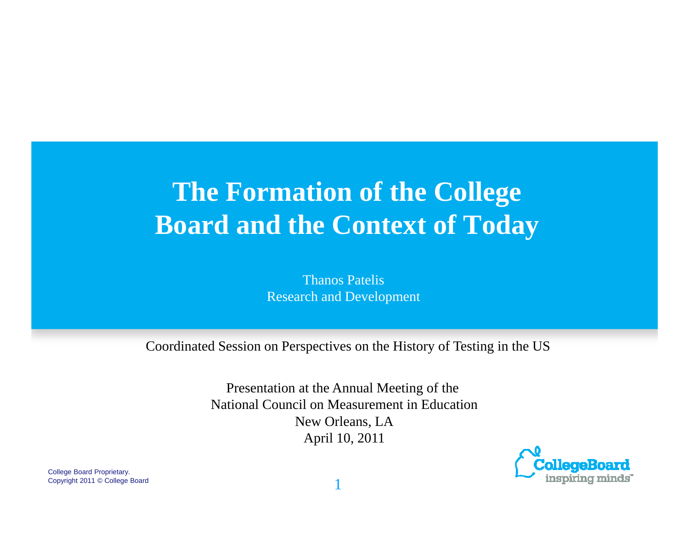# **The Formation of the College Board and the Context of Today**

Thanos PatelisResearch and Development

Coordinated Session on Perspectives on the History of Testing in the US

Presentation at the Annual Meeting of the National Council on Measurement in EducationNew Orleans, LA April 10, 2011



College Board Proprietary. Copyright 2011 © College Board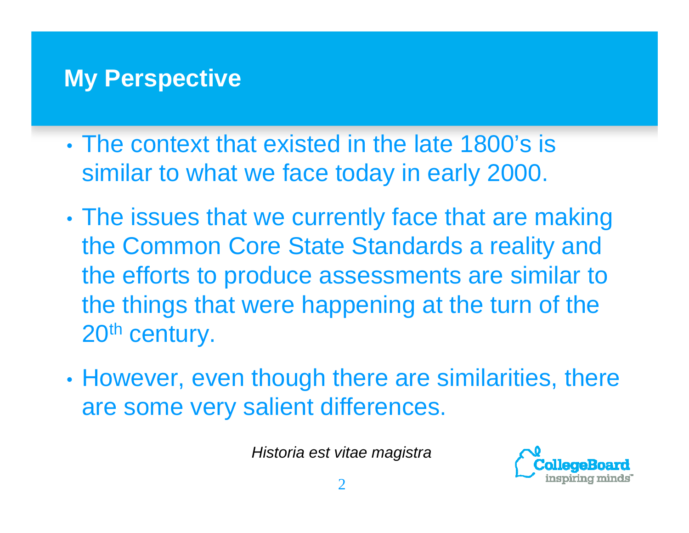#### **My Perspective**

- The context that existed in the late 1800's is similar to what we face today in early 2000.
- • The issues that we currently face that are making the Common Core State Standards a reality and the efforts to produce assessments are similar to the things that were happening at the turn of the 20<sup>th</sup> century.
- • However, even though there are similarities, there are some very salient differences.

*Historia est vitae magistra*

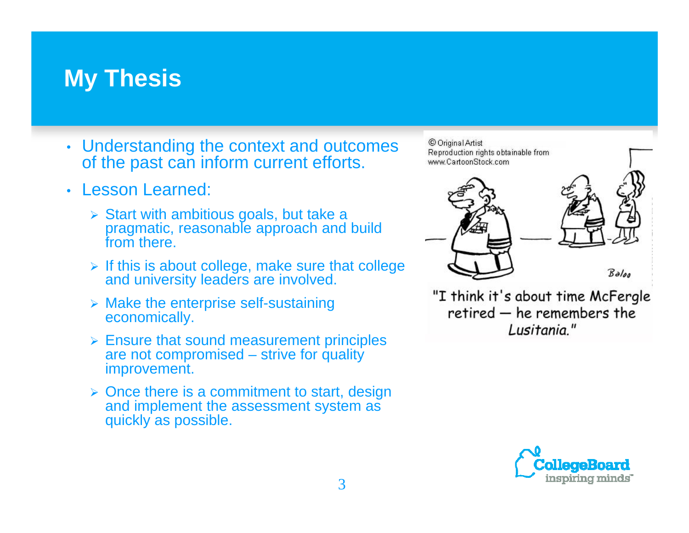#### **My Thesis**

- Understanding the context and outcomes of the past can inform current efforts.
- Lesson Learned:
	- $\triangleright$  Start with ambitious goals, but take a pragmatic, reasonable approach and build from there.
	- $\triangleright$  If this is about college, make sure that college and university leaders are involved.
	- $\triangleright$  Make the enterprise self-sustaining economically.
	- $\triangleright$  Ensure that sound measurement principles are not compromised – strive for quality improvement.
	- $\triangleright$  Once there is a commitment to start, design and implement the assessment system as quickly as possible.

© Original Artist Reproduction rights obtainable from www.CartoonStock.com



"I think it's about time McFergle retired - he remembers the Lusitania."

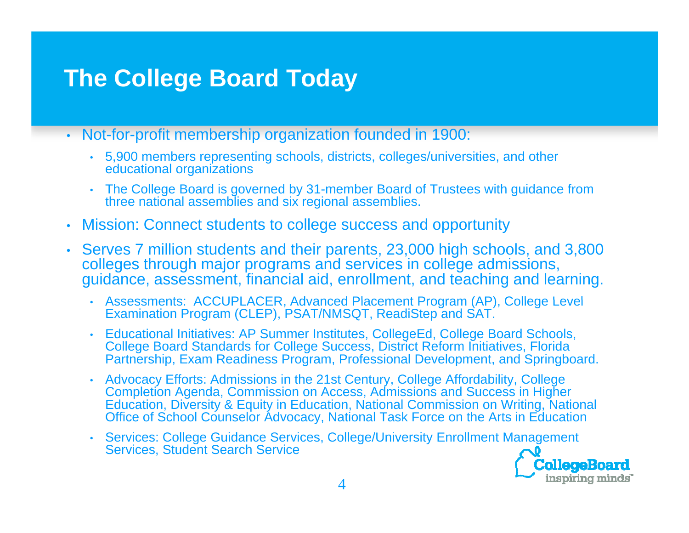## **The College Board Today**

- Not-for-profit membership organization founded in 1900:
	- 5,900 members representing schools, districts, colleges/universities, and other educational organizations
	- The College Board is governed by 31-member Board of Trustees with guidance from three national assemblies and six regional assemblies.
- Mission: Connect students to college success and opportunity
- Serves 7 million students and their parents, 23,000 high schools, and 3,800 colleges through major programs and services in college admissions, guidance, assessment, financial aid, enrollment, and teaching and learning.
	- Assessments: ACCUPLACER, Advanced Placement Program (AP), College Level Examination Program (CLEP), PSAT/NMSQT, ReadiStep and SAT.
	- Educational Initiatives: AP Summer Institutes, CollegeEd, College Board Schools, College Board Standards for College Success, District Reform Initiatives, Florida Partnership, Exam Readiness Program, Professional Development, and Springboard.
	- Advocacy Efforts: Admissions in the 21st Century, College Affordability, College Completion Agenda, Commission on Access, Admissions and Success in Higher Education, Diversity & Equity in Education, National Commission on Writing, National Office of School Counselor Advocacy, National Task Force on the Arts in Education
	- Services: College Guidance Services, College/University Enrollment Management<br>Services, Student Search Service



CollegeBoard inspiring minds"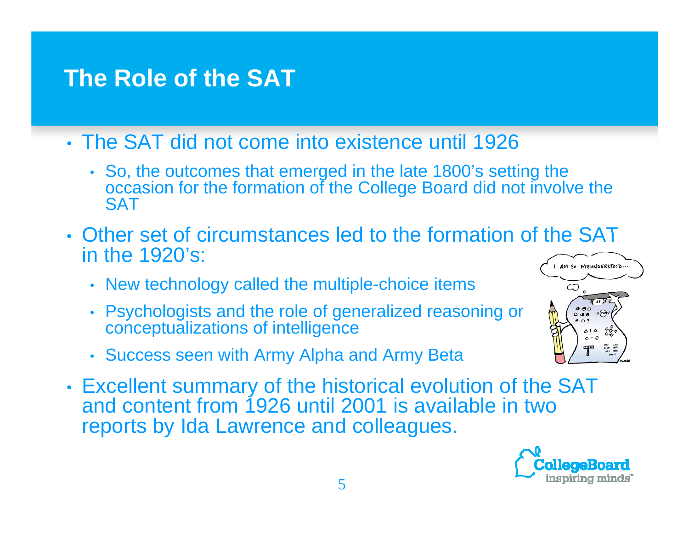## **The Role of the SAT**

- The SAT did not come into existence until 1926
	- So, the outcomes that emerged in the late 1800's setting the occasion for the formation of the College Board did not involve the **SAT**
- Other set of circumstances led to the formation of the SAT in the 1920's: AM SO MISUNDERSTOOD.
	- New technology called the multiple-choice items
	- Psychologists and the role of generalized reasoning or conceptualizations of intelligence
	- Success seen with Army Alpha and Army Beta
- • Excellent summary of the historical evolution of the SAT and content from 1926 until 2001 is available in two reports by Ida Lawrence and colleagues.



CO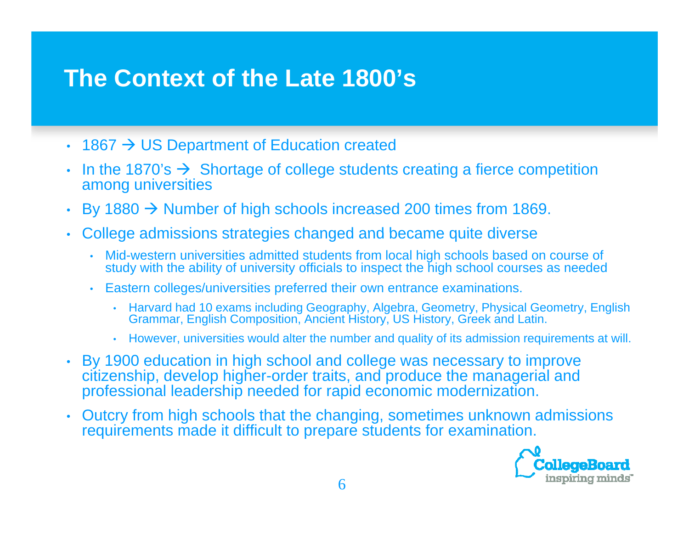#### **The Context of the Late 1800's**

- •• 1867  $\rightarrow$  US Department of Education created
- In the 1870's  $\rightarrow$  Shortage of college students creating a fierce competition among universities
- •By 1880  $\rightarrow$  Number of high schools increased 200 times from 1869.
- College admissions strategies changed and became quite diverse
	- Mid-western universities admitted students from local high schools based on course of study with the ability of university officials to inspect the high school courses as needed
	- Eastern colleges/universities preferred their own entrance examinations.
		- Harvard had 10 exams including Geography, Algebra, Geometry, Physical Geometry, English Grammar, English Composition, Ancient History, US History, Greek and Latin.
		- However, universities would alter the number and quality of its admission requirements at will.
- By 1900 education in high school and college was necessary to improve citizenship, develop higher-order traits, and produce the managerial and professional leadership needed for rapid economic modernization.
- • Outcry from high schools that the changing, sometimes unknown admissions requirements made it difficult to prepare students for examination.

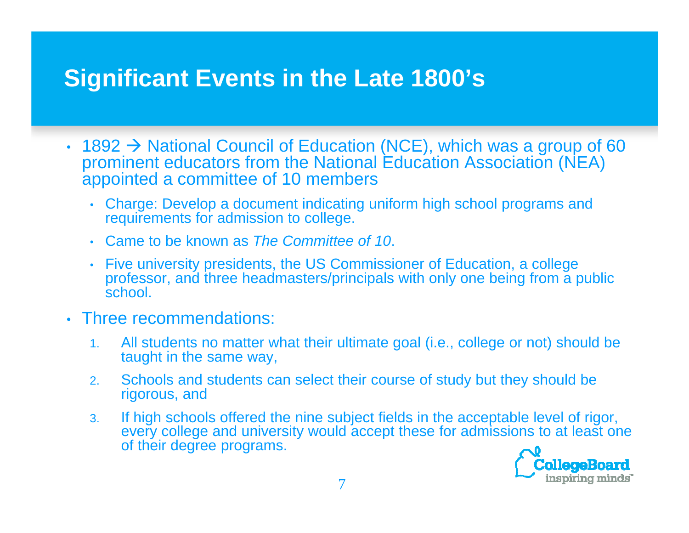## **Significant Events in the Late 1800's**

- 1892  $\rightarrow$  National Council of Education (NCE), which was a group of 60 prominent educators from the National Education Association (NEA) appointed a committee of 10 members
	- Charge: Develop a document indicating uniform high school programs and requirements for admission to college.
	- Came to be known as *The Committee of 10*.
	- Five university presidents, the US Commissioner of Education, a college professor, and three headmasters/principals with only one being from a public school.
- Three recommendations:
	- 1. All students no matter what their ultimate goal (i.e., college or not) should be taught in the same way,
	- 2. Schools and students can select their course of study but they should be rigorous, and
	- 3. If high schools offered the nine subject fields in the acceptable level of rigor, every college and university would accept these for admissions to at least one every of their degree programs.

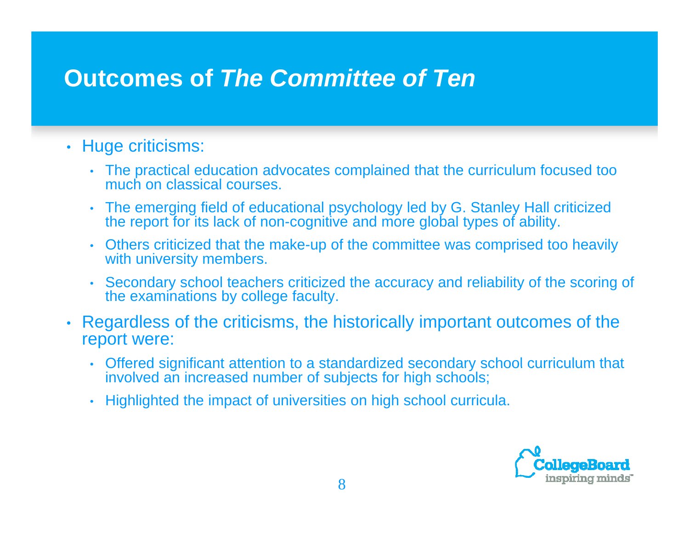## **Outcomes of** *The Committee of Ten*

#### • Huge criticisms:

- The practical education advocates complained that the curriculum focused too much on classical courses.
- The emerging field of educational psychology led by G. Stanley Hall criticized the report for its lack of non-cognitive and more global types of ability.
- Others criticized that the make-up of the committee was comprised too heavily with university members.
- Secondary school teachers criticized the accuracy and reliability of the scoring of the examinations by college faculty.
- Regardless of the criticisms, the historically important outcomes of the report were:
	- Offered significant attention to a standardized secondary school curriculum that involved an increased number of subjects for high schools;
	- Highlighted the impact of universities on high school curricula.

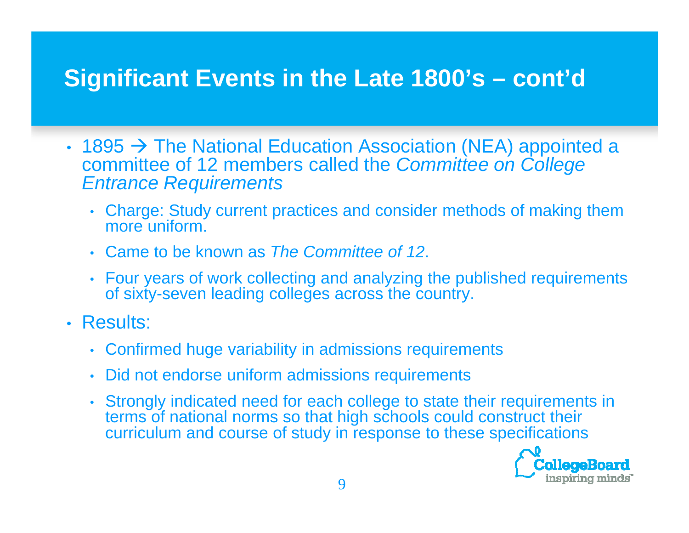## **Significant Events in the Late 1800's – cont'd**

- 1895  $\rightarrow$  The National Education Association (NEA) appointed a committee of 12 members called the *Committee on College Entrance Requirements*
	- Charge: Study current practices and consider methods of making them more uniform.
	- Came to be known as *The Committee of 12*.
	- Four years of work collecting and analyzing the published requirements of sixt y-seven leadin gg y colle ges across the countr y.
- Results:
	- Confirmed huge variability in admissions requirements
	- Did not endorse uniform admissions requirements
	- Strongly indicated need for each college to state their requirements in terms of national norms so that high schools could construct their curriculum and course of study in response to these specifications

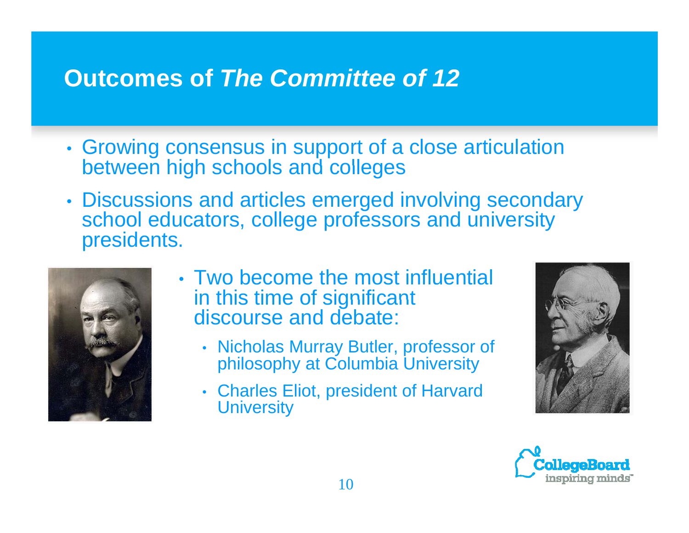## **Outcomes of** *The Committee of 12*

- • Growing consensus in support of a close articulation between high schools and colleges
- • Discussions and articles emerged involving secondary school educators, college professors and university presidents.



- Two become the most influential in this time of significant discourse and debate:
	- Nicholas Murray Butler, professor of philosophy at Columbia University
	- Charles Eliot, president of Harvard **University**



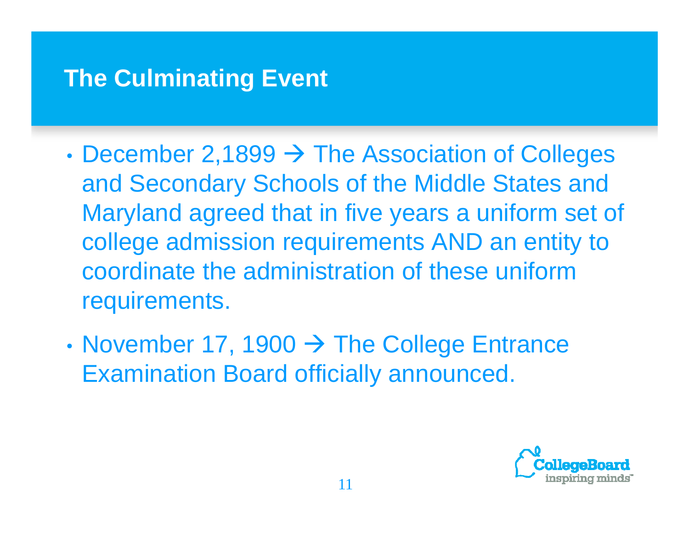#### **The Culminating Event**

- •• December 2,1899  $\rightarrow$  The Association of Colleges and Secondary Schools of the Middle States and Maryland agreed that in five years a uniform set of college admission requirements AND an entity to coordinate the administration of these uniform requirements.
- •• November 17, 1900  $\rightarrow$  The College Entrance Examination Board officially announced.

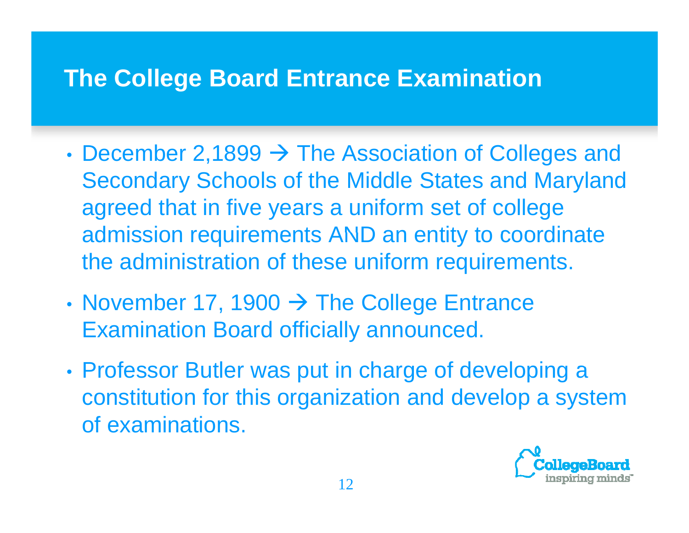## **The College Board Entrance Examination**

- December 2,1899 → The Association of Colleges and Secondary Schools of the Middle States and Maryland agreed that in five years a uniform set of college admission requirements AND an entity to coordinate the administration of these uniform requirements.
- November 17, 1900  $\rightarrow$  The College Entrance Examination Board officially announced.
- • Professor Butler was put in charge of developing <sup>a</sup> a constitution for this organization and develop a system of examinations.

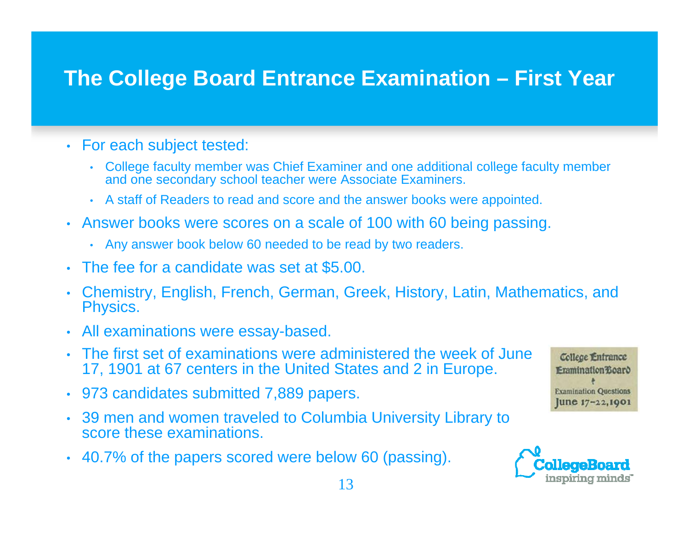#### **The College Board Entrance Examination – First Year**

- For each subject tested:
	- College faculty member was Chief Examiner and one additional college faculty member and one secondary school teacher were Associate Examiners.
	- A staff of Readers to read and score and the answer books were appointed.
- Answer books were scores on a scale of 100 with 60 being passing.
	- Any answer book below 60 needed to be read by two readers.
- The fee for a candidate was set at \$5.00.
- Chemistry, English, French, German, Greek, History, Latin, Mathematics, and Physics.
- All examinations were essay-based.
- The first set of examinations were administered the week of June 17, 1901 at 67 centers in the United States and 2 in Europe.
- 973 candidates submitted 7,889 papers.
- 39 men and women traveled to Columbia University Library to score these examinations.
- 40.7% of the papers scored were below 60 (passing).



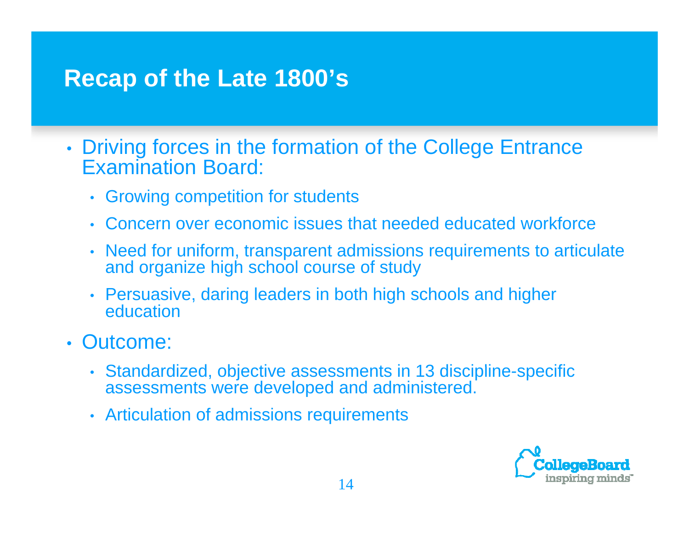## **Recap of the Late 1800's**

- • Driving forces in the formation of the College Entrance Examination Board:
	- Growing competition for students
	- Concern over economic issues that needed educated workforce
	- • Need for uniform, transparent admissions requirements to articulate and organize high school course of study
	- Persuasive, daring leaders in both high schools and higher  $\,$ education
- Outcome:
	- Standardized, objective assessments in 13 discipline-specific assessments were developed and administered.
	- Articulation of admissions requirements

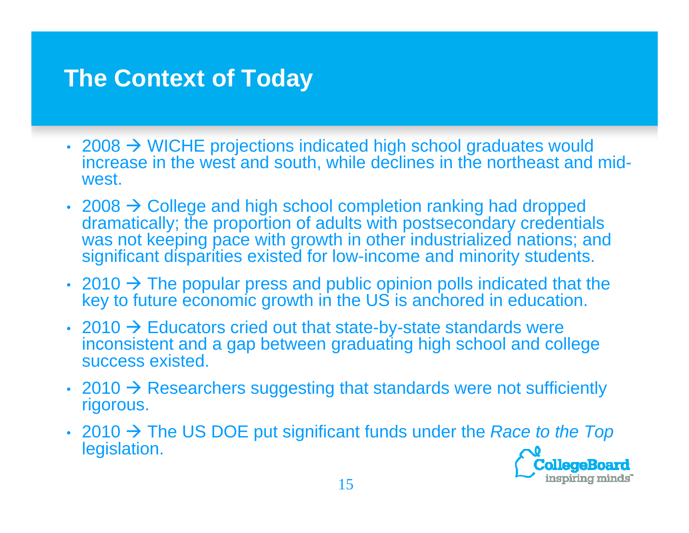## **The Context of Today**

- 2008  $\rightarrow$  WICHE projections indicated high school graduates would increase in the west and south, while declines in the northeast and midwest.
- 2008  $\rightarrow$  College and high school completion ranking had dropped dramatically; the proportion of adults with postsecondary credentials was not keeping pace with growth in other industrialized nations; and significant disparities existed for low-income and minority students.
- 2010  $\rightarrow$  The popular press and public opinion polls indicated that the key to future economic growth in the US is anchored in education.
- 2010  $\rightarrow$  Educators cried out that state-by-state standards were inconsistent and a gap between graduating high school and college success existed.
- 2010  $\rightarrow$  Researchers suggesting that standards were not sufficiently rigorous.
- 2010 → The US DOE put significant funds under the *Race to the Top* legislation.'ollegeBoard

inspiring minds"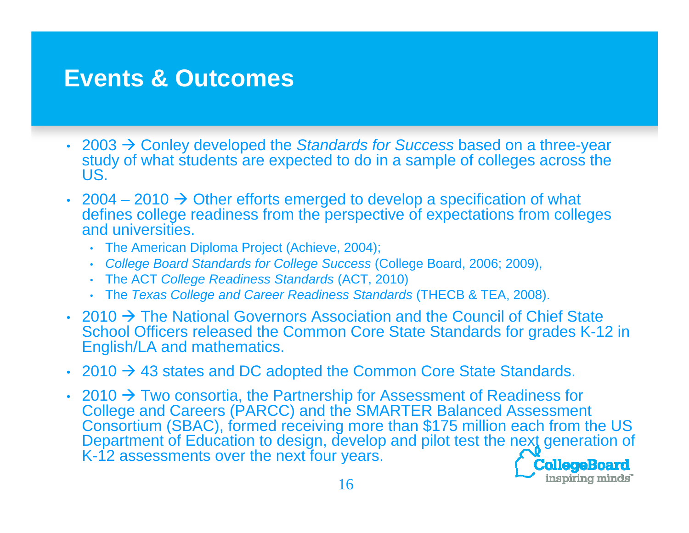#### **Events & Outcomes**

- 2003 → Conley developed the *Standards for Success* based on a three-year study of what students are expected to do in a sample of colleges across the US.
- 2004 2010  $\rightarrow$  Other efforts emerged to develop a specification of what defines college readiness from the perspective of expectations from colleges and universities.
	- The American Diploma Project (Achieve, 2004);
	- •*College Board Standards for College Success* (College Board, 2006; 2009),
	- The ACT *College Readiness Standards* (ACT, 2010)
	- The *Texas College and Career Readiness Standards* (THECB & TEA, 2008).
- 2010  $\rightarrow$  The National Governors Association and the Council of Chief State School Officers released the Common Core State Standards for grades K-12 in English/LA and mathematics.
- 2010  $\rightarrow$  43 states and DC adopted the Common Core State Standards.
- 2010  $\rightarrow$  Two consortia, the Partnership for Assessment of Readiness for College and Careers (PARCC) and the SMARTER Balanced Assessment Consortium (SBAC), formed receiving more than \$175 million each from the US Department of Education to design, develop and pilot test the next generation of K-12 assessments over the next four years.CollegeBoard

inspiring minds"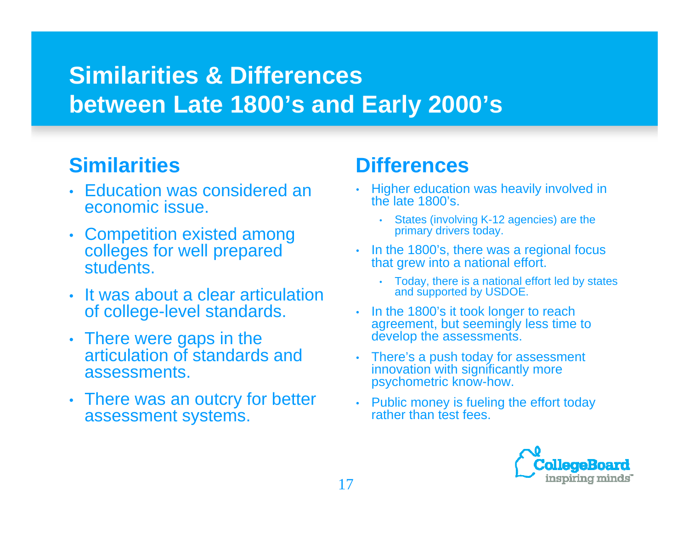## **Similarities & Differences b t L t 1800' d E l 2000' e tween a te 1800's an Early s**

#### **Similarities**

- Education was considered an economic issue.
- Competition existed among external primary drivers today colleges for well prepared students.
- It was about a clear articulation and supported by USDOE. of college-level standards.
- There were gaps in the articulation of standards and tassessments.
- There was an outcry for better assessment systems.

#### **Differences**

- Higher education was heavily involved in the late 1800's.
	- States (involving K-12 agencies) are the primary drivers today.
- In the 1800's, there was a regional focus that grew into a national effort.
	- Today, there is a national effort led by states
- In the 1800's it took longer to reach agreement, but seemingly less time to develop the assessments.
- There's a push today for assessment nts. This innovation with significantly more psychometric know-how.
	- Public money is fueling the effort today rather than test fees.

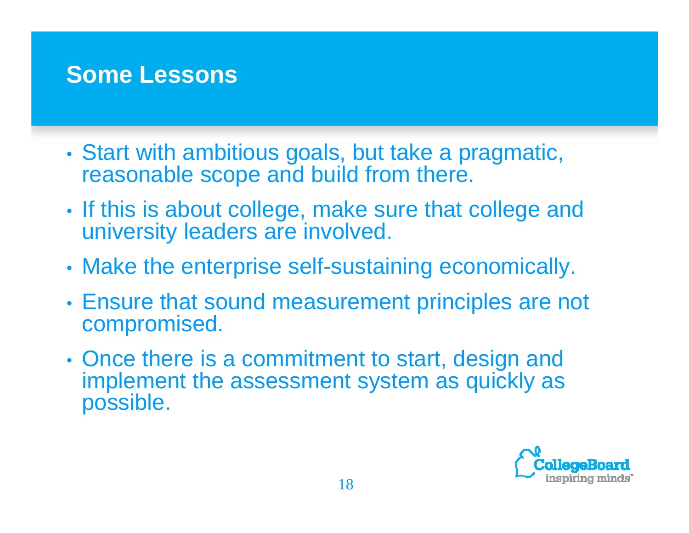#### **Some Lessons**

- • Start with ambitious goals, but take a pragmatic, reasonable scope and build from there.
- •• If this is about college, make sure that college and university leaders are involved.
- •Make the enterprise self-sustaining economically.
- • Ensure that sound measurement principles are not compromised.
- •• Once there is a commitment to start, design and implement the assessment system as quickly as possible.

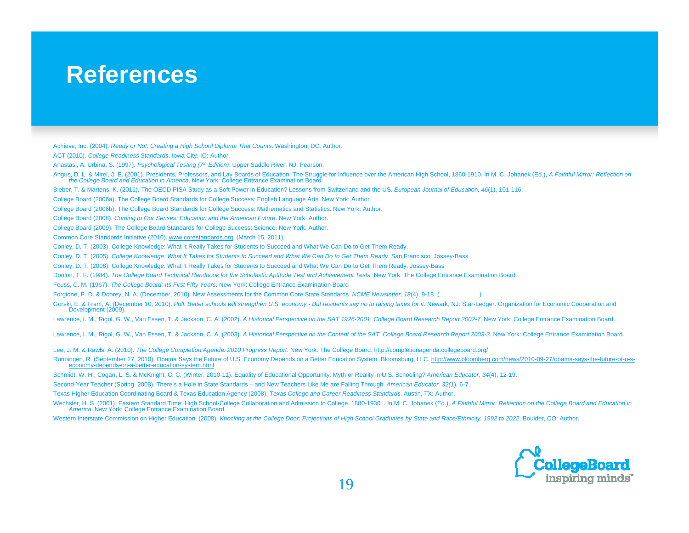#### **References**

Achieve, Inc. (2004). *Ready or Not: Creating a High School Diploma That Counts*. Washington, DC: Author.

ACT (2010). *College Readiness Standards*. Iowa City, IO: Author.

Anastasi A Urbina S (1997) *Psychological Testing (7* Anastasi, A. Urbina, S. (1997). *(7th Edition)* . Upper Saddle River NJ: Pearson River, Pearson.

Angus, D. L. & Mirel, J. E. (2001). Presidents, Professors, and Lay Boards of Education: The Struggle for Influence over the American High School, 1860-1910. In M. C. Johanek (Ed.), *A Faithful Mirror: Reflection on the Co* 

Bieber, T. & Martens, K. (2011). The OECD PISA Study as a Soft Power in Education? Lessons from Switzerland and the US. *European Journal of Education, 46*(1), 101-116.

College Board (2006a). The College Board Standards for College Success: English Language Arts. New York: Author.

- College Board (2006b). The College Board Standards for College Success: Mathematics and Statistics. New York: Author.
- College Board (2008). *Coming to Our Senses: Education and the American Future*. New York: Author.

College Board (2009). The College Board Standards for College Success: Science. New York: Author.

Common Core Standards Initiative (2010). www.corestandards.org. (March 15, 2011)

Conley, D. T. (2003). College Knowledge: What It Really Takes for Students to Succeed and What We Can Do to Get Them Ready.

Conley, D. T. (2005). *College Knowledge: What It Takes for Students to Succeed and What We Can Do to Get Them Ready*. San Francisco: Jossey-Bass.

Conley, D. T. (2008). College Knowledge: What It Really Takes for Students to Succeed and What We Can Do to Get Them Ready. Jossey-Bass

Donlon, T. F. (1984). *The College Board Technical Handbook for the Scholastic Aptitude Test and Achievement Tests.* New York: The College Entrance Examination Board.

Feuss, C. M. (1967). *The College Board: Its First Fifty Years*. New York: College Entrance Examination Board

Forgione, P. D. & Doorey, N. A. (December, 2010). New Assessments for the Common Core State Standards. *NCME Newsletter, 18*(4), 9-18. (

Gorski, E. & Fram, A. (December 10, 2010). Poll: Better schools will strengthen U.S. economy - But residents say no to raising taxes for it. Newark, NJ: Star-Ledger. Organization for Economic Cooperation and Development (2009).

Lawrence, I. M., Rigol, G. W., Van Essen, T. & Jackson, C. A. (2002). *A Historical Perspective on the SAT 1926-2001. College Board Research Report 2002-7*. New York: College Entrance Examination Board.

Lawrence, I. M., Rigol, G. W., Van Essen, T. & Jackson, C. A. (2003). *A Historical Perspective on the Content of the SAT. College Board Research Report 2003-3*. New York: College Entrance Examination Board.

Lee, J. M. & Rawls, A. (2010). *The College Completion Agenda: 2010 Progress Report*. New York: The College Board. http://completionagenda.collegeboard.org/

Runningen, R. (September 27, 2010). Obama Says the Future of U.S. Economy Depends on a Better Education System. Bloomsburg, LLC. <u>http://www.bloomberg.com/news/2010-09-27/obama-says-the-future-of-u-s-</u><br>\_\_\_\_\_\_\_\_\_\_\_\_\_\_\_\_\_\_\_\_

Schmidt, W. H., Cogan, L. S. & McKnight, C. C. (Winter, 2010-11). Equality of Educational Opportunity: Myth or Reality in U.S. Schooling? *American Educator, 34*(4), 12-19.

Second-Year Teacher (Spring, 2008). There's a Hole in State Standards – and New Teachers Like Me are Falling Through. *American Educator, 32(*1), 6-7.

Texas Higher Education Coordinating Board & Texas Education Agency (2008). *Texas College and Career Readiness Standards*. Austin, TX: Author.

Wechsler, H. S. (2001). Eastern Standard Time: High School-College Collaboration and Admission to College, 1880-1930. . In M. C. Johanek (Ed.), A Faithful Mirror: Reflection on the College Board and Education in *America*. New York: College Entrance Examination Board.

Western Interstate Commission on Higher Education. (2008). *Knocking at the College Door: Projections of High School Graduates by State and Race/Ethnicity, 1992 to 2022*. Boulder, CO: Author.